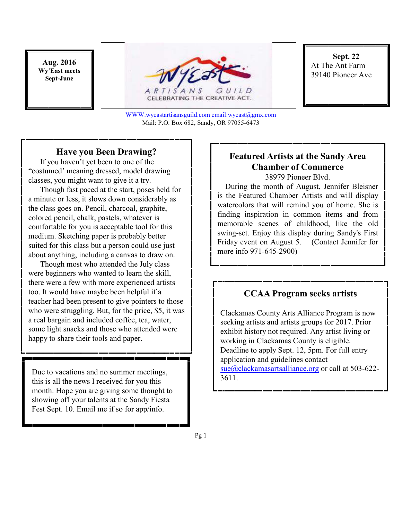**Aug. 2016 Wy'East meets Sept-June** 



**Sept. 22**  At The Ant Farm 39140 Pioneer Ave

WWW.wyeastartisansguild.com email:wyeast@gmx.com Mail: P.O. Box 682, Sandy, OR 97055-6473

#### **Have you Been Drawing?**

 If you haven't yet been to one of the "costumed' meaning dressed, model drawing classes, you might want to give it a try.

 Though fast paced at the start, poses held for a minute or less, it slows down considerably as the class goes on. Pencil, charcoal, graphite, colored pencil, chalk, pastels, whatever is comfortable for you is acceptable tool for this medium. Sketching paper is probably better suited for this class but a person could use just about anything, including a canvas to draw on.

 Though most who attended the July class were beginners who wanted to learn the skill, there were a few with more experienced artists too. It would have maybe been helpful if a teacher had been present to give pointers to those who were struggling. But, for the price, \$5, it was a real bargain and included coffee, tea, water, some light snacks and those who attended were happy to share their tools and paper.

Due to vacations and no summer meetings, this is all the news I received for you this month. Hope you are giving some thought to showing off your talents at the Sandy Fiesta Fest Sept. 10. Email me if so for app/info.

## **Featured Artists at the Sandy Area Chamber of Commerce**

38979 Pioneer Blvd.

 During the month of August, Jennifer Bleisner is the Featured Chamber Artists and will display watercolors that will remind you of home. She is finding inspiration in common items and from memorable scenes of childhood, like the old swing-set. Enjoy this display during Sandy's First Friday event on August 5. (Contact Jennifer for more info 971-645-2900)

#### **CCAA Program seeks artists**

Clackamas County Arts Alliance Program is now seeking artists and artists groups for 2017. Prior exhibit history not required. Any artist living or working in Clackamas County is eligible. Deadline to apply Sept. 12, 5pm. For full entry application and guidelines contact sue@clackamasartsalliance.org or call at 503-622-3611.